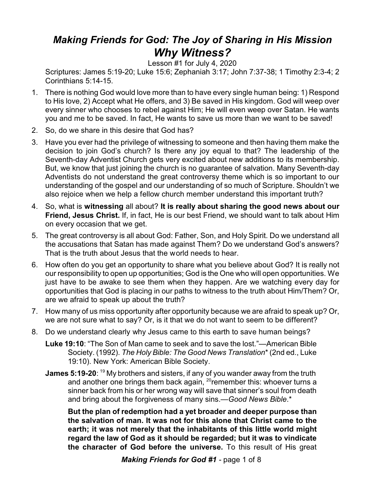# *Making Friends for God: The Joy of Sharing in His Mission Why Witness?*

Lesson #1 for July 4, 2020

Scriptures: James 5:19-20; Luke 15:6; Zephaniah 3:17; John 7:37-38; 1 Timothy 2:3-4; 2 Corinthians 5:14-15.

- 1. There is nothing God would love more than to have every single human being: 1) Respond to His love, 2) Accept what He offers, and 3) Be saved in His kingdom. God will weep over every sinner who chooses to rebel against Him; He will even weep over Satan. He wants you and me to be saved. In fact, He wants to save us more than we want to be saved!
- 2. So, do we share in this desire that God has?
- 3. Have you ever had the privilege of witnessing to someone and then having them make the decision to join God's church? Is there any joy equal to that? The leadership of the Seventh-day Adventist Church gets very excited about new additions to its membership. But, we know that just joining the church is no guarantee of salvation. Many Seventh-day Adventists do not understand the great controversy theme which is so important to our understanding of the gospel and our understanding of so much of Scripture. Shouldn't we also rejoice when we help a fellow church member understand this important truth?
- 4. So, what is **witnessing** all about? **It is really about sharing the good news about our Friend, Jesus Christ.** If, in fact, He is our best Friend, we should want to talk about Him on every occasion that we get.
- 5. The great controversy is all about God: Father, Son, and Holy Spirit. Do we understand all the accusations that Satan has made against Them? Do we understand God's answers? That is the truth about Jesus that the world needs to hear.
- 6. How often do you get an opportunity to share what you believe about God? It is really not our responsibility to open up opportunities; God is the One who will open opportunities. We just have to be awake to see them when they happen. Are we watching every day for opportunities that God is placing in our paths to witness to the truth about Him/Them? Or, are we afraid to speak up about the truth?
- 7. How many of us miss opportunity after opportunity because we are afraid to speak up? Or, we are not sure what to say? Or, is it that we do not want to seem to be different?
- 8. Do we understand clearly why Jesus came to this earth to save human beings?
	- **Luke 19:10**: "The Son of Man came to seek and to save the lost."—American Bible Society. (1992). *The Holy Bible: The Good News Translation*\* (2nd ed., Luke 19:10). New York: American Bible Society.
	- **James 5:19-20**: <sup>19</sup> My brothers and sisters, if any of you wander away from the truth and another one brings them back again,  $^{20}$ remember this: whoever turns a sinner back from his or her wrong way will save that sinner's soul from death and bring about the forgiveness of many sins.—*Good News Bible*.\*

**But the plan of redemption had a yet broader and deeper purpose than the salvation of man. It was not for this alone that Christ came to the earth; it was not merely that the inhabitants of this little world might regard the law of God as it should be regarded; but it was to vindicate the character of God before the universe.** To this result of His great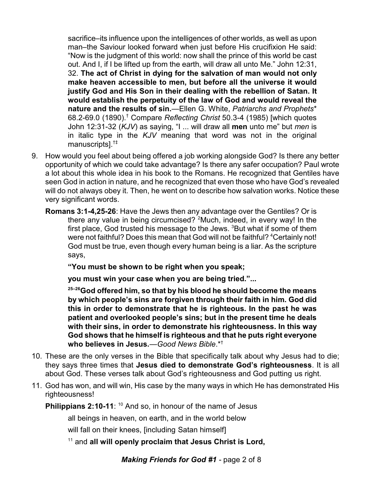sacrifice–its influence upon the intelligences of other worlds, as well as upon man–the Saviour looked forward when just before His crucifixion He said: "Now is the judgment of this world: now shall the prince of this world be cast out. And I, if I be lifted up from the earth, will draw all unto Me." John 12:31, 32. **The act of Christ in dying for the salvation of man would not only make heaven accessible to men, but before all the universe it would justify God and His Son in their dealing with the rebellion of Satan. It would establish the perpetuity of the law of God and would reveal the nature and the results of sin.**—Ellen G. White, *Patriarchs and Prophets*\* 68.2-69.0 (1890).† Compare *Reflecting Christ* 50.3-4 (1985) [which quotes John 12:31-32 (*KJV*) as saying, "I ... will draw all **men** unto me" but *men* is in italic type in the *KJV* meaning that word was not in the original manuscripts].†‡

- 9. How would you feel about being offered a job working alongside God? Is there any better opportunity of which we could take advantage? Is there any safer occupation? Paul wrote a lot about this whole idea in his book to the Romans. He recognized that Gentiles have seen God in action in nature, and he recognized that even those who have God's revealed will do not always obey it. Then, he went on to describe how salvation works. Notice these very significant words.
	- **Romans 3:1-4,25-26**: Have the Jews then any advantage over the Gentiles? Or is there any value in being circumcised? <sup>2</sup>Much, indeed, in every way! In the first place, God trusted his message to the Jews.  ${}^{3}$ But what if some of them were not faithful? Does this mean that God will not be faithful? <sup>4</sup>Certainly not! God must be true, even though every human being is a liar. As the scripture says,

**"You must be shown to be right when you speak;**

**you must win your case when you are being tried."...**

**25–26God offered him, so that by his blood he should become the means by which people's sins are forgiven through their faith in him. God did this in order to demonstrate that he is righteous. In the past he was patient and overlooked people's sins; but in the present time he deals with their sins, in order to demonstrate his righteousness. In this way God shows that he himself is righteous and that he puts right everyone who believes in Jesus.**—*Good News Bible*.\*†

- 10. These are the only verses in the Bible that specifically talk about why Jesus had to die; they says three times that **Jesus died to demonstrate God's righteousness**. It is all about God. These verses talk about God's righteousness and God putting us right.
- 11. God has won, and will win, His case by the many ways in which He has demonstrated His righteousness!

Philippians 2:10-11: <sup>10</sup> And so, in honour of the name of Jesus

all beings in heaven, on earth, and in the world below

will fall on their knees, [including Satan himself]

<sup>11</sup> and all will openly proclaim that Jesus Christ is Lord,

*Making Friends for God #1 -* page 2 of 8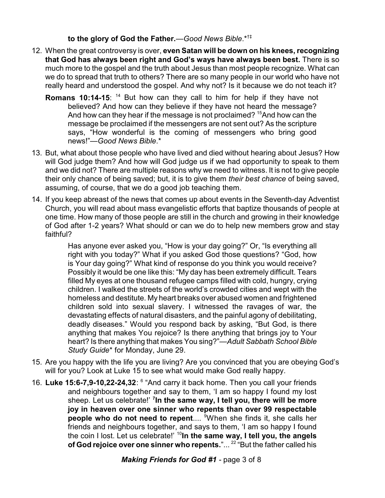## **to the glory of God the Father.**—*Good News Bible*.\*†‡

- 12. When the great controversy is over, **even Satan will be down on his knees, recognizing that God has always been right and God's ways have always been best.** There is so much more to the gospel and the truth about Jesus than most people recognize. What can we do to spread that truth to others? There are so many people in our world who have not really heard and understood the gospel. And why not? Is it because we do not teach it?
	- **Romans 10:14-15**: <sup>14</sup> But how can they call to him for help if they have not believed? And how can they believe if they have not heard the message? And how can they hear if the message is not proclaimed? <sup>15</sup>And how can the message be proclaimed if the messengers are not sent out? As the scripture says, "How wonderful is the coming of messengers who bring good news!"—*Good News Bible*.\*
- 13. But, what about those people who have lived and died without hearing about Jesus? How will God judge them? And how will God judge us if we had opportunity to speak to them and we did not? There are multiple reasons why we need to witness. It is not to give people their only chance of being saved; but, it is to give them *their best chance* of being saved, assuming, of course, that we do a good job teaching them.
- 14. If you keep abreast of the news that comes up about events in the Seventh-day Adventist Church, you will read about mass evangelistic efforts that baptize thousands of people at one time. How many of those people are still in the church and growing in their knowledge of God after 1-2 years? What should or can we do to help new members grow and stay faithful?

Has anyone ever asked you, "How is your day going?" Or, "Is everything all right with you today?" What if you asked God those questions? "God, how is Your day going?" What kind of response do you think you would receive? Possibly it would be one like this: "My day has been extremely difficult. Tears filled My eyes at one thousand refugee camps filled with cold, hungry, crying children. I walked the streets of the world's crowded cities and wept with the homeless and destitute. My heart breaks over abused women and frightened children sold into sexual slavery. I witnessed the ravages of war, the devastating effects of natural disasters, and the painful agony of debilitating, deadly diseases." Would you respond back by asking, "But God, is there anything that makes You rejoice? Is there anything that brings joy to Your heart? Is there anything that makes You sing?"—*Adult Sabbath School Bible Study Guide*\* for Monday, June 29.

- 15. Are you happy with the life you are living? Are you convinced that you are obeying God's will for you? Look at Luke 15 to see what would make God really happy.
- 16. **Luke 15:6-7,9-10,22-24,32**: <sup>6</sup> "And carry it back home. Then you call your friends and neighbours together and say to them, 'I am so happy I found my lost sheep. Let us celebrate!' **<sup>7</sup> In the same way, I tell you, there will be more joy in heaven over one sinner who repents than over 99 respectable people who do not need to repent**.... <sup>9</sup>When she finds it, she calls her friends and neighbours together, and says to them, 'I am so happy I found the coin I lost. Let us celebrate!' <sup>10</sup> **In the same way, I tell you, the angels of God rejoice over one sinner who repents.**"... <sup>22</sup> "But the father called his

*Making Friends for God #1 -* page 3 of 8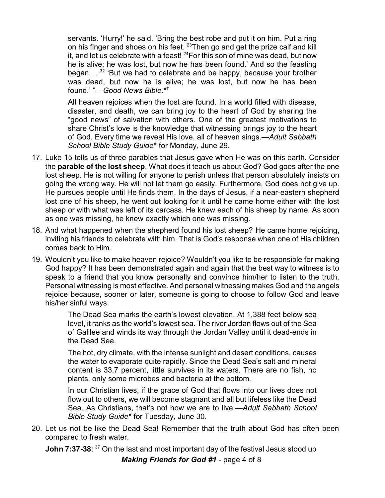servants. 'Hurry!' he said. 'Bring the best robe and put it on him. Put a ring on his finger and shoes on his feet.  $23$ Then go and get the prize calf and kill it, and let us celebrate with a feast!  $^{24}$  For this son of mine was dead, but now he is alive; he was lost, but now he has been found.' And so the feasting began.... <sup>32</sup> 'But we had to celebrate and be happy, because your brother was dead, but now he is alive; he was lost, but now he has been found.' "—*Good News Bible*.\*†

All heaven rejoices when the lost are found. In a world filled with disease, disaster, and death, we can bring joy to the heart of God by sharing the "good news" of salvation with others. One of the greatest motivations to share Christ's love is the knowledge that witnessing brings joy to the heart of God. Every time we reveal His love, all of heaven sings.—*Adult Sabbath School Bible Study Guide*\* for Monday, June 29.

- 17. Luke 15 tells us of three parables that Jesus gave when He was on this earth. Consider the **parable of the lost sheep**. What does it teach us about God? God goes after the one lost sheep. He is not willing for anyone to perish unless that person absolutely insists on going the wrong way. He will not let them go easily. Furthermore, God does not give up. He pursues people until He finds them. In the days of Jesus, if a near-eastern shepherd lost one of his sheep, he went out looking for it until he came home either with the lost sheep or with what was left of its carcass. He knew each of his sheep by name. As soon as one was missing, he knew exactly which one was missing.
- 18. And what happened when the shepherd found his lost sheep? He came home rejoicing, inviting his friends to celebrate with him. That is God's response when one of His children comes back to Him.
- 19. Wouldn't you like to make heaven rejoice? Wouldn't you like to be responsible for making God happy? It has been demonstrated again and again that the best way to witness is to speak to a friend that you know personally and convince him/her to listen to the truth. Personal witnessing is most effective. And personal witnessing makes God and the angels rejoice because, sooner or later, someone is going to choose to follow God and leave his/her sinful ways.

The Dead Sea marks the earth's lowest elevation. At 1,388 feet below sea level, it ranks as the world's lowest sea. The river Jordan flows out of the Sea of Galilee and winds its way through the Jordan Valley until it dead-ends in the Dead Sea.

The hot, dry climate, with the intense sunlight and desert conditions, causes the water to evaporate quite rapidly. Since the Dead Sea's salt and mineral content is 33.7 percent, little survives in its waters. There are no fish, no plants, only some microbes and bacteria at the bottom.

In our Christian lives, if the grace of God that flows into our lives does not flow out to others, we will become stagnant and all but lifeless like the Dead Sea. As Christians, that's not how we are to live.—*Adult Sabbath School Bible Study Guide*\* for Tuesday, June 30.

20. Let us not be like the Dead Sea! Remember that the truth about God has often been compared to fresh water.

**John 7:37-38:** <sup>37</sup> On the last and most important day of the festival Jesus stood up *Making Friends for God #1 -* page 4 of 8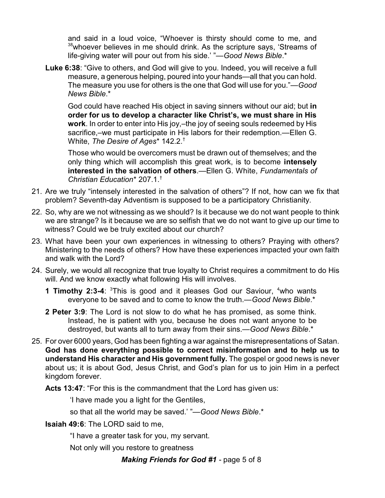and said in a loud voice, "Whoever is thirsty should come to me, and <sup>38</sup>whoever believes in me should drink. As the scripture says, 'Streams of life-giving water will pour out from his side.' "—*Good News Bible*.\*

**Luke 6:38**: "Give to others, and God will give to you. Indeed, you will receive a full measure, a generous helping, poured into your hands—all that you can hold. The measure you use for others is the one that God will use for you."—*Good News Bible*.\*

God could have reached His object in saving sinners without our aid; but **in order for us to develop a character like Christ's, we must share in His work**. In order to enter into His joy,–the joy of seeing souls redeemed by His sacrifice,–we must participate in His labors for their redemption.—Ellen G. White, *The Desire of Ages*\* 142.2.†

Those who would be overcomers must be drawn out of themselves; and the only thing which will accomplish this great work, is to become **intensely interested in the salvation of others**.—Ellen G. White, *Fundamentals of Christian Education*\* 207.1.†

- 21. Are we truly "intensely interested in the salvation of others"? If not, how can we fix that problem? Seventh-day Adventism is supposed to be a participatory Christianity.
- 22. So, why are we not witnessing as we should? Is it because we do not want people to think we are strange? Is it because we are so selfish that we do not want to give up our time to witness? Could we be truly excited about our church?
- 23. What have been your own experiences in witnessing to others? Praying with others? Ministering to the needs of others? How have these experiences impacted your own faith and walk with the Lord?
- 24. Surely, we would all recognize that true loyalty to Christ requires a commitment to do His will. And we know exactly what following His will involves.
	- **1 Timothy 2:3-4:** <sup>3</sup>This is good and it pleases God our Saviour, <sup>4</sup>who wants everyone to be saved and to come to know the truth.—*Good News Bible*.\*
	- **2 Peter 3:9**: The Lord is not slow to do what he has promised, as some think. Instead, he is patient with you, because he does not want anyone to be destroyed, but wants all to turn away from their sins.—*Good News Bible*.\*
- 25. For over 6000 years, God has been fighting a war against the misrepresentations of Satan. **God has done everything possible to correct misinformation and to help us to understand His character and His government fully.** The gospel or good news is never about us; it is about God, Jesus Christ, and God's plan for us to join Him in a perfect kingdom forever.
	- **Acts 13:47**: "For this is the commandment that the Lord has given us:

'I have made you a light for the Gentiles,

so that all the world may be saved.' "—*Good News Bible*.\*

**Isaiah 49:6**: The LORD said to me,

"I have a greater task for you, my servant.

Not only will you restore to greatness

*Making Friends for God #1 -* page 5 of 8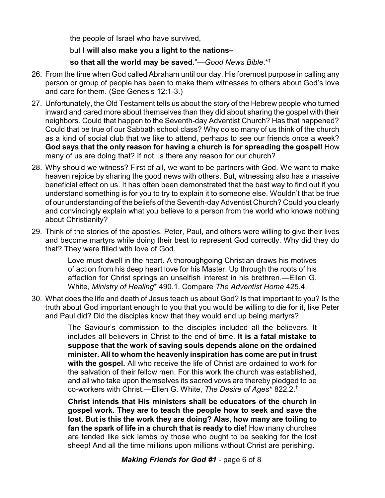the people of Israel who have survived,

## but **I will also make you a light to the nations–**

## **so that all the world may be saved.**"—*Good News Bible*.\*†

- 26. From the time when God called Abraham until our day, His foremost purpose in calling any person or group of people has been to make them witnesses to others about God's love and care for them. (See Genesis 12:1-3.)
- 27. Unfortunately, the Old Testament tells us about the story of the Hebrew people who turned inward and cared more about themselves than they did about sharing the gospel with their neighbors. Could that happen to the Seventh-day Adventist Church? Has that happened? Could that be true of our Sabbath school class? Why do so many of us think of the church as a kind of social club that we like to attend, perhaps to see our friends once a week? **God says that the only reason for having a church is for spreading the gospel!** How many of us are doing that? If not, is there any reason for our church?
- 28. Why should we witness? First of all, we want to be partners with God. We want to make heaven rejoice by sharing the good news with others. But, witnessing also has a massive beneficial effect on us. It has often been demonstrated that the best way to find out if you understand something is for you to try to explain it to someone else. Wouldn't that be true of our understanding of the beliefs of the Seventh-day Adventist Church? Could you clearly and convincingly explain what you believe to a person from the world who knows nothing about Christianity?
- 29. Think of the stories of the apostles. Peter, Paul, and others were willing to give their lives and become martyrs while doing their best to represent God correctly. Why did they do that? They were filled with love of God.

Love must dwell in the heart. A thoroughgoing Christian draws his motives of action from his deep heart love for his Master. Up through the roots of his affection for Christ springs an unselfish interest in his brethren.—Ellen G. White, *Ministry of Healing*\* 490.1. Compare *The Adventist Home* 425.4.

30. What does the life and death of Jesus teach us about God? Is that important to you? Is the truth about God important enough to you that you would be willing to die for it, like Peter and Paul did? Did the disciples know that they would end up being martyrs?

> The Saviour's commission to the disciples included all the believers. It includes all believers in Christ to the end of time. **It is a fatal mistake to suppose that the work of saving souls depends alone on the ordained minister. All to whom the heavenly inspiration has come are put in trust with the gospel.** All who receive the life of Christ are ordained to work for the salvation of their fellow men. For this work the church was established, and all who take upon themselves its sacred vows are thereby pledged to be co-workers with Christ.—Ellen G. White, *The Desire of Ages*\* 822.2.†

> **Christ intends that His ministers shall be educators of the church in gospel work. They are to teach the people how to seek and save the lost. But is this the work they are doing? Alas, how many are toiling to fan the spark of life in a church that is ready to die!** How many churches are tended like sick lambs by those who ought to be seeking for the lost sheep! And all the time millions upon millions without Christ are perishing.

## *Making Friends for God #1 -* page 6 of 8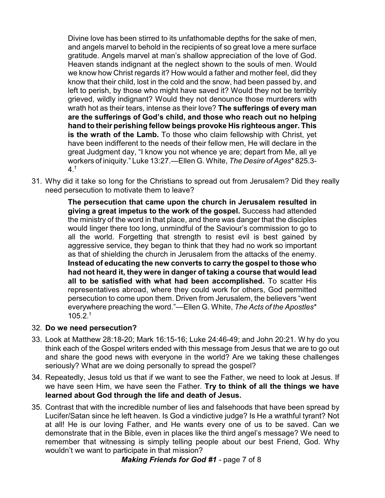Divine love has been stirred to its unfathomable depths for the sake of men, and angels marvel to behold in the recipients of so great love a mere surface gratitude. Angels marvel at man's shallow appreciation of the love of God. Heaven stands indignant at the neglect shown to the souls of men. Would we know how Christ regards it? How would a father and mother feel, did they know that their child, lost in the cold and the snow, had been passed by, and left to perish, by those who might have saved it? Would they not be terribly grieved, wildly indignant? Would they not denounce those murderers with wrath hot as their tears, intense as their love? **The sufferings of every man are the sufferings of God's child, and those who reach out no helping hand to their perishing fellow beings provoke His righteous anger. This is the wrath of the Lamb.** To those who claim fellowship with Christ, yet have been indifferent to the needs of their fellow men, He will declare in the great Judgment day, "I know you not whence ye are; depart from Me, all ye workers of iniquity." Luke 13:27.—Ellen G. White, *The Desire of Ages*\* 825.3-  $4.1$ <sup>+</sup>

31. Why did it take so long for the Christians to spread out from Jerusalem? Did they really need persecution to motivate them to leave?

> **The persecution that came upon the church in Jerusalem resulted in giving a great impetus to the work of the gospel.** Success had attended the ministry of the word in that place, and there was danger that the disciples would linger there too long, unmindful of the Saviour's commission to go to all the world. Forgetting that strength to resist evil is best gained by aggressive service, they began to think that they had no work so important as that of shielding the church in Jerusalem from the attacks of the enemy. **Instead of educating the new converts to carry the gospel to those who had not heard it, they were in danger of taking a course that would lead all to be satisfied with what had been accomplished.** To scatter His representatives abroad, where they could work for others, God permitted persecution to come upon them. Driven from Jerusalem, the believers "went everywhere preaching the word."—Ellen G. White, *The Acts of the Apostles*\* 105.2.†

## 32. **Do we need persecution?**

- 33. Look at Matthew 28:18-20; Mark 16:15-16; Luke 24:46-49; and John 20:21. W hy do you think each of the Gospel writers ended with this message from Jesus that we are to go out and share the good news with everyone in the world? Are we taking these challenges seriously? What are we doing personally to spread the gospel?
- 34. Repeatedly, Jesus told us that if we want to see the Father, we need to look at Jesus. If we have seen Him, we have seen the Father. **Try to think of all the things we have learned about God through the life and death of Jesus.**
- 35. Contrast that with the incredible number of lies and falsehoods that have been spread by Lucifer/Satan since he left heaven. Is God a vindictive judge? Is He a wrathful tyrant? Not at all! He is our loving Father, and He wants every one of us to be saved. Can we demonstrate that in the Bible, even in places like the third angel's message? We need to remember that witnessing is simply telling people about our best Friend, God. Why wouldn't we want to participate in that mission?

*Making Friends for God #1 -* page 7 of 8